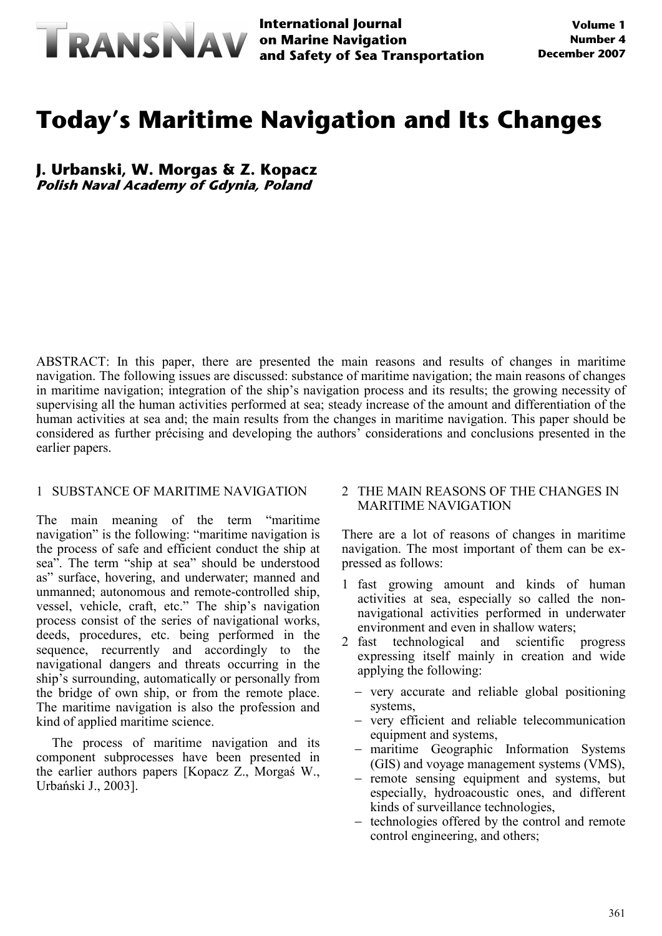

**International Journal and Safety of Sea Transportation**

# **Today's Maritime Navigation and Its Changes**

**J. Urbanski, W. Morgas & Z. Kopacz Polish Naval Academy of Gdynia, Poland**

ABSTRACT: In this paper, there are presented the main reasons and results of changes in maritime navigation. The following issues are discussed: substance of maritime navigation; the main reasons of changes in maritime navigation; integration of the ship's navigation process and its results; the growing necessity of supervising all the human activities performed at sea; steady increase of the amount and differentiation of the human activities at sea and; the main results from the changes in maritime navigation. This paper should be considered as further précising and developing the authors' considerations and conclusions presented in the earlier papers.

#### 1 SUBSTANCE OF MARITIME NAVIGATION

The main meaning of the term "maritime navigation" is the following: "maritime navigation is the process of safe and efficient conduct the ship at sea". The term "ship at sea" should be understood as" surface, hovering, and underwater; manned and unmanned; autonomous and remote-controlled ship, vessel, vehicle, craft, etc." The ship's navigation process consist of the series of navigational works, deeds, procedures, etc. being performed in the sequence, recurrently and accordingly to the navigational dangers and threats occurring in the ship's surrounding, automatically or personally from the bridge of own ship, or from the remote place. The maritime navigation is also the profession and kind of applied maritime science.

The process of maritime navigation and its component subprocesses have been presented in the earlier authors papers [Kopacz Z., Morgaś W., Urbański J., 2003].

#### 2 THE MAIN REASONS OF THE CHANGES IN MARITIME NAVIGATION

There are a lot of reasons of changes in maritime navigation. The most important of them can be expressed as follows:

- 1 fast growing amount and kinds of human activities at sea, especially so called the nonnavigational activities performed in underwater environment and even in shallow waters;<br>2 fast technological and scientific
- 2 fast technological and scientific progress expressing itself mainly in creation and wide applying the following:
	- − very accurate and reliable global positioning systems,
	- − very efficient and reliable telecommunication equipment and systems,
	- − maritime Geographic Information Systems (GIS) and voyage management systems (VMS),
	- − remote sensing equipment and systems, but especially, hydroacoustic ones, and different kinds of surveillance technologies,
	- − technologies offered by the control and remote control engineering, and others;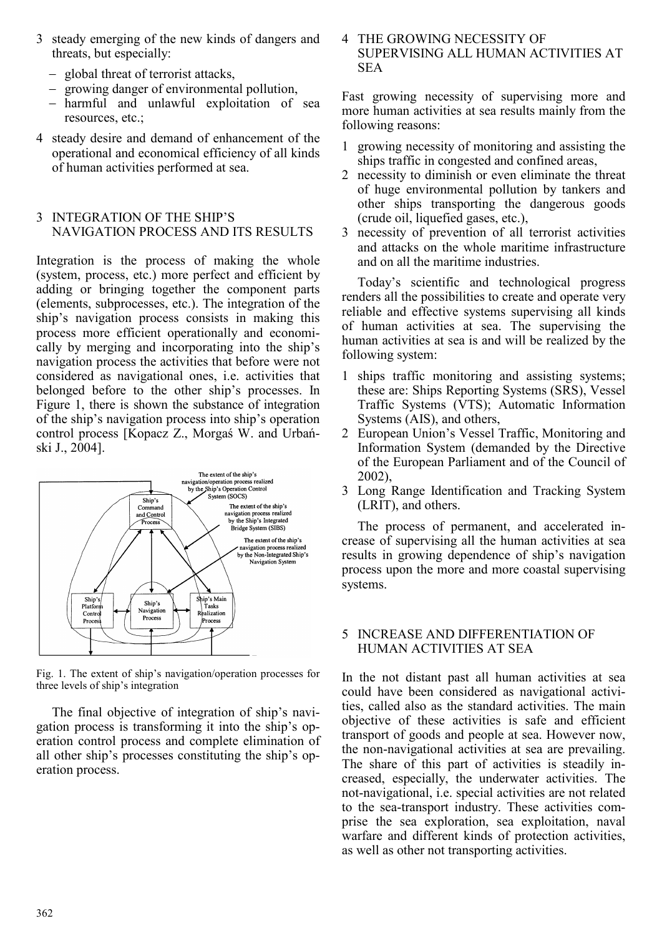- 3 steady emerging of the new kinds of dangers and threats, but especially:
	- − global threat of terrorist attacks,
	- − growing danger of environmental pollution,
	- − harmful and unlawful exploitation of sea resources, etc.;
- 4 steady desire and demand of enhancement of the operational and economical efficiency of all kinds of human activities performed at sea.

#### 3 INTEGRATION OF THE SHIP'S NAVIGATION PROCESS AND ITS RESULTS

Integration is the process of making the whole (system, process, etc.) more perfect and efficient by adding or bringing together the component parts (elements, subprocesses, etc.). The integration of the ship's navigation process consists in making this process more efficient operationally and economically by merging and incorporating into the ship's navigation process the activities that before were not considered as navigational ones, i.e. activities that belonged before to the other ship's processes. In Figure 1, there is shown the substance of integration of the ship's navigation process into ship's operation control process [Kopacz Z., Morgaś W. and Urbański J., 2004].



Fig. 1. The extent of ship's navigation/operation processes for three levels of ship's integration

The final objective of integration of ship's navigation process is transforming it into the ship's operation control process and complete elimination of all other ship's processes constituting the ship's operation process.

4 THE GROWING NECESSITY OF SUPERVISING ALL HUMAN ACTIVITIES AT **SEA** 

Fast growing necessity of supervising more and more human activities at sea results mainly from the following reasons:

- 1 growing necessity of monitoring and assisting the ships traffic in congested and confined areas,
- 2 necessity to diminish or even eliminate the threat of huge environmental pollution by tankers and other ships transporting the dangerous goods (crude oil, liquefied gases, etc.),
- 3 necessity of prevention of all terrorist activities and attacks on the whole maritime infrastructure and on all the maritime industries.

Today's scientific and technological progress renders all the possibilities to create and operate very reliable and effective systems supervising all kinds of human activities at sea. The supervising the human activities at sea is and will be realized by the following system:

- 1 ships traffic monitoring and assisting systems; these are: Ships Reporting Systems (SRS), Vessel Traffic Systems (VTS); Automatic Information Systems (AIS), and others,
- 2 European Union's Vessel Traffic, Monitoring and Information System (demanded by the Directive of the European Parliament and of the Council of 2002),
- 3 Long Range Identification and Tracking System (LRIT), and others.

The process of permanent, and accelerated increase of supervising all the human activities at sea results in growing dependence of ship's navigation process upon the more and more coastal supervising systems.

## 5 INCREASE AND DIFFERENTIATION OF HUMAN ACTIVITIES AT SEA

In the not distant past all human activities at sea could have been considered as navigational activities, called also as the standard activities. The main objective of these activities is safe and efficient transport of goods and people at sea. However now, the non-navigational activities at sea are prevailing. The share of this part of activities is steadily increased, especially, the underwater activities. The not-navigational, i.e. special activities are not related to the sea-transport industry. These activities comprise the sea exploration, sea exploitation, naval warfare and different kinds of protection activities, as well as other not transporting activities.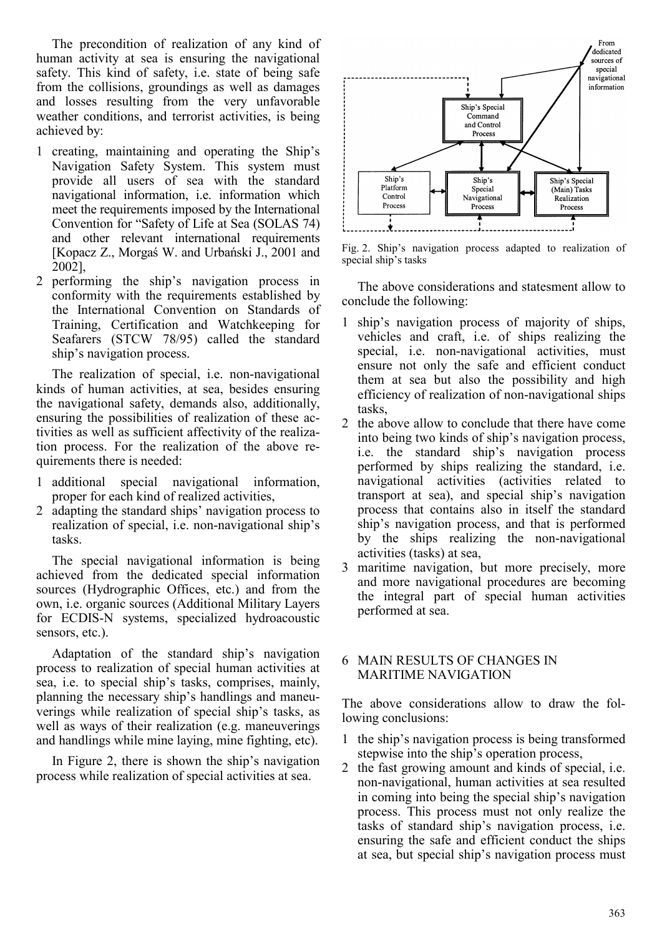The precondition of realization of any kind of human activity at sea is ensuring the navigational safety. This kind of safety, i.e. state of being safe from the collisions, groundings as well as damages and losses resulting from the very unfavorable weather conditions, and terrorist activities, is being achieved by:

- 1 creating, maintaining and operating the Ship's Navigation Safety System. This system must provide all users of sea with the standard navigational information, i.e. information which meet the requirements imposed by the International Convention for "Safety of Life at Sea (SOLAS 74) and other relevant international requirements [Kopacz Z., Morgaś W. and Urbański J., 2001 and 2002],
- 2 performing the ship's navigation process in conformity with the requirements established by the International Convention on Standards of Training, Certification and Watchkeeping for Seafarers (STCW 78/95) called the standard ship's navigation process.

The realization of special, i.e. non-navigational kinds of human activities, at sea, besides ensuring the navigational safety, demands also, additionally, ensuring the possibilities of realization of these activities as well as sufficient affectivity of the realization process. For the realization of the above requirements there is needed:

- 1 additional special navigational information, proper for each kind of realized activities,
- 2 adapting the standard ships' navigation process to realization of special, i.e. non-navigational ship's tasks.

The special navigational information is being achieved from the dedicated special information sources (Hydrographic Offices, etc.) and from the own, i.e. organic sources (Additional Military Layers for ECDIS-N systems, specialized hydroacoustic sensors, etc.).

Adaptation of the standard ship's navigation process to realization of special human activities at sea, i.e. to special ship's tasks, comprises, mainly, planning the necessary ship's handlings and maneuverings while realization of special ship's tasks, as well as ways of their realization (e.g. maneuverings and handlings while mine laying, mine fighting, etc).

In Figure 2, there is shown the ship's navigation process while realization of special activities at sea.



Fig. 2. Ship's navigation process adapted to realization of special ship's tasks

The above considerations and statesment allow to conclude the following:

- 1 ship's navigation process of majority of ships, vehicles and craft, i.e. of ships realizing the special, i.e. non-navigational activities, must ensure not only the safe and efficient conduct them at sea but also the possibility and high efficiency of realization of non-navigational ships tasks,
- 2 the above allow to conclude that there have come into being two kinds of ship's navigation process, i.e. the standard ship's navigation process performed by ships realizing the standard, i.e. navigational activities (activities related to transport at sea), and special ship's navigation process that contains also in itself the standard ship's navigation process, and that is performed by the ships realizing the non-navigational activities (tasks) at sea,
- 3 maritime navigation, but more precisely, more and more navigational procedures are becoming the integral part of special human activities performed at sea.

#### 6 MAIN RESULTS OF CHANGES IN MARITIME NAVIGATION

The above considerations allow to draw the following conclusions:

- 1 the ship's navigation process is being transformed stepwise into the ship's operation process,
- 2 the fast growing amount and kinds of special, i.e. non-navigational, human activities at sea resulted in coming into being the special ship's navigation process. This process must not only realize the tasks of standard ship's navigation process, i.e. ensuring the safe and efficient conduct the ships at sea, but special ship's navigation process must